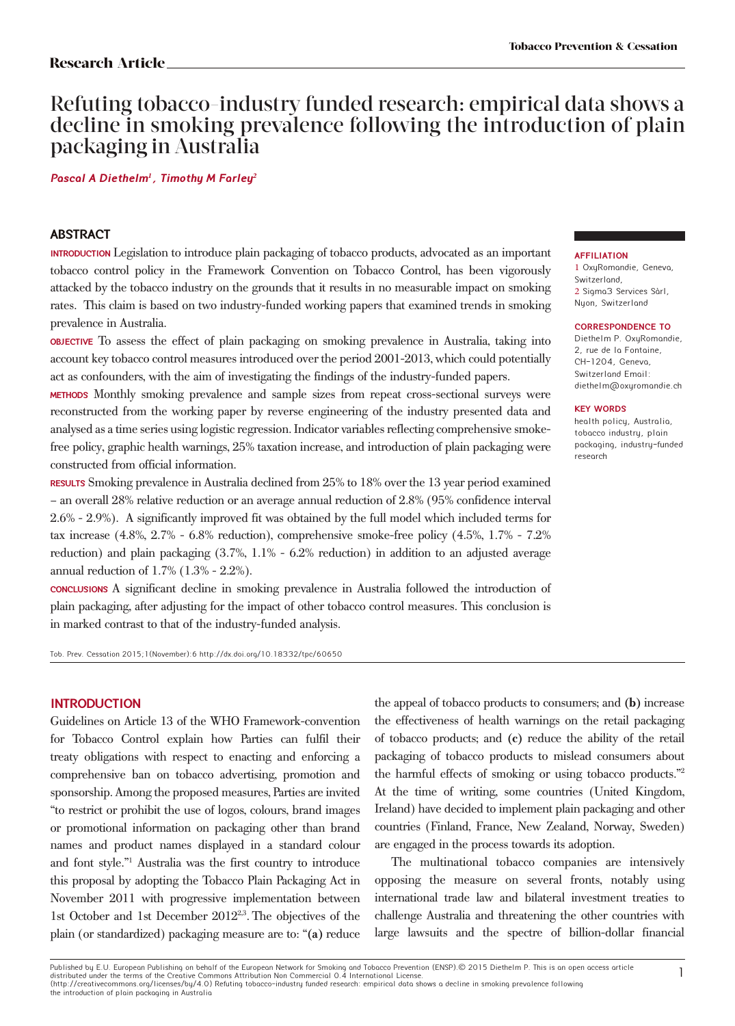# Refuting tobacco-industry funded research: empirical data shows a decline in smoking prevalence following the introduction of plain packaging in Australia

**Pascal A diethelm***1* **, timothy M Farley** *2*

### **Abstract**

**Introduction** Legislation to introduce plain packaging of tobacco products, advocated as an important tobacco control policy in the Framework Convention on Tobacco Control, has been vigorously attacked by the tobacco industry on the grounds that it results in no measurable impact on smoking rates. This claim is based on two industry-funded working papers that examined trends in smoking prevalence in Australia.

**Objective** To assess the effect of plain packaging on smoking prevalence in Australia, taking into account key tobacco control measures introduced over the period 2001-2013, which could potentially act as confounders, with the aim of investigating the findings of the industry-funded papers.

**Methods** Monthly smoking prevalence and sample sizes from repeat cross-sectional surveys were reconstructed from the working paper by reverse engineering of the industry presented data and analysed as a time series using logistic regression. Indicator variables reflecting comprehensive smokefree policy, graphic health warnings, 25% taxation increase, and introduction of plain packaging were constructed from official information.

**Results** Smoking prevalence in Australia declined from 25% to 18% over the 13 year period examined – an overall 28% relative reduction or an average annual reduction of 2.8% (95% confidence interval 2.6% - 2.9%). A significantly improved fit was obtained by the full model which included terms for tax increase (4.8%, 2.7% - 6.8% reduction), comprehensive smoke-free policy (4.5%, 1.7% - 7.2% reduction) and plain packaging (3.7%, 1.1% - 6.2% reduction) in addition to an adjusted average annual reduction of 1.7% (1.3% - 2.2%).

**Conclusions** A significant decline in smoking prevalence in Australia followed the introduction of plain packaging, after adjusting for the impact of other tobacco control measures. This conclusion is in marked contrast to that of the industry-funded analysis.

Tob. Prev. Cessation 2015;1(November):6 http://dx.doi.org/10.18332/tpc/60650

#### **INTRODUCTION**

Guidelines on Article 13 of the WHO Framework-convention for Tobacco Control explain how Parties can fulfil their treaty obligations with respect to enacting and enforcing a comprehensive ban on tobacco advertising, promotion and sponsorship. Among the proposed measures, Parties are invited "to restrict or prohibit the use of logos, colours, brand images or promotional information on packaging other than brand names and product names displayed in a standard colour and font style."1 Australia was the first country to introduce this proposal by adopting the Tobacco Plain Packaging Act in November 2011 with progressive implementation between 1st October and 1st December 20122,3. The objectives of the plain (or standardized) packaging measure are to: "**(a)** reduce

the appeal of tobacco products to consumers; and **(b)** increase the effectiveness of health warnings on the retail packaging of tobacco products; and **(c)** reduce the ability of the retail packaging of tobacco products to mislead consumers about the harmful effects of smoking or using tobacco products."2 At the time of writing, some countries (United Kingdom, Ireland) have decided to implement plain packaging and other countries (Finland, France, New Zealand, Norway, Sweden) are engaged in the process towards its adoption.

The multinational tobacco companies are intensively opposing the measure on several fronts, notably using international trade law and bilateral investment treaties to challenge Australia and threatening the other countries with large lawsuits and the spectre of billion-dollar financial

#### **AFFIlIAtIon**

1 OxuRomandie, Geneva, Switzerland, 2 Sigma3 Services Sàrl, Nyon, Switzerland

#### **CORRESPONDENCE TO**

Diethelm P. OxyRomandie, 2, rue de la Fontaine, CH-1204, Geneva, Switzerland Email: diethelm@oxyromandie.ch

#### **KEY WORDS**

health policy, Australia, tobacco industry, plain packaging, industry-funded research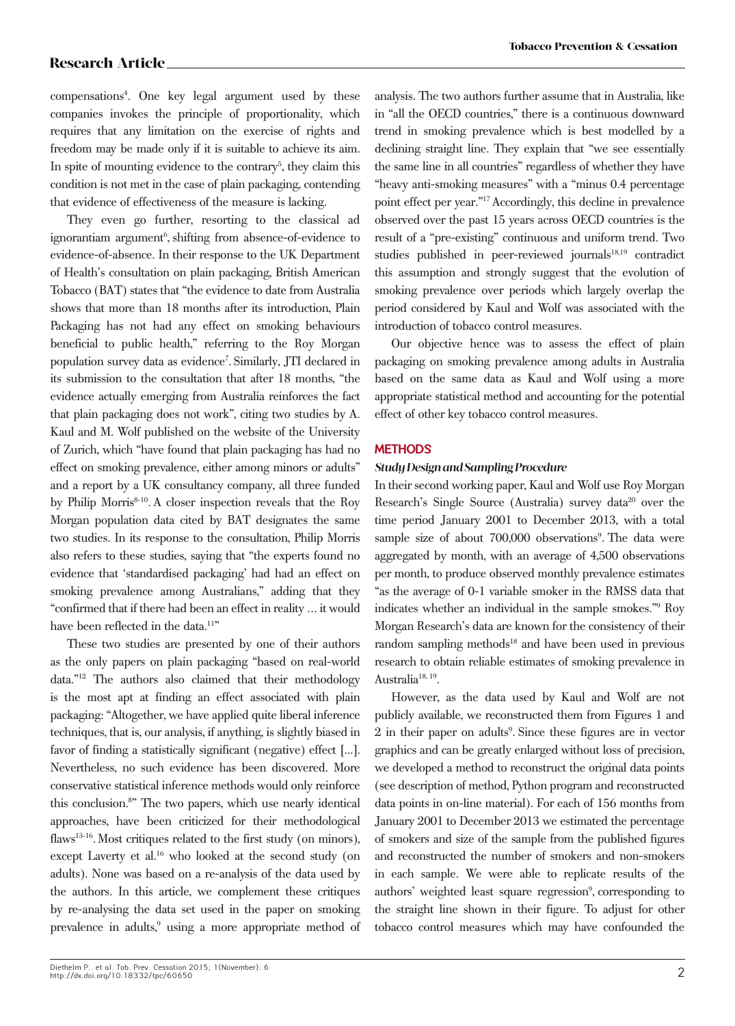compensations4 . One key legal argument used by these companies invokes the principle of proportionality, which requires that any limitation on the exercise of rights and freedom may be made only if it is suitable to achieve its aim. In spite of mounting evidence to the contrary<sup>5</sup>, they claim this condition is not met in the case of plain packaging, contending that evidence of effectiveness of the measure is lacking.

They even go further, resorting to the classical ad ignorantiam argument<sup>6</sup>, shifting from absence-of-evidence to evidence-of-absence. In their response to the UK Department of Health's consultation on plain packaging, British American Tobacco (BAT) states that "the evidence to date from Australia shows that more than 18 months after its introduction, Plain Packaging has not had any effect on smoking behaviours beneficial to public health," referring to the Roy Morgan population survey data as evidence<sup>7</sup>. Similarly, JTI declared in its submission to the consultation that after 18 months, "the evidence actually emerging from Australia reinforces the fact that plain packaging does not work", citing two studies by A. Kaul and M. Wolf published on the website of the University of Zurich, which "have found that plain packaging has had no effect on smoking prevalence, either among minors or adults" and a report by a UK consultancy company, all three funded by Philip Morris<sup>8-10</sup>. A closer inspection reveals that the Roy Morgan population data cited by BAT designates the same two studies. In its response to the consultation, Philip Morris also refers to these studies, saying that "the experts found no evidence that 'standardised packaging' had had an effect on smoking prevalence among Australians," adding that they "confirmed that if there had been an effect in reality … it would have been reflected in the data.<sup>11"</sup>

These two studies are presented by one of their authors as the only papers on plain packaging "based on real-world data."12 The authors also claimed that their methodology is the most apt at finding an effect associated with plain packaging: "Altogether, we have applied quite liberal inference techniques, that is, our analysis, if anything, is slightly biased in favor of finding a statistically significant (negative) effect [...]. Nevertheless, no such evidence has been discovered. More conservative statistical inference methods would only reinforce this conclusion.8 " The two papers, which use nearly identical approaches, have been criticized for their methodological flaws<sup>13-16</sup>. Most critiques related to the first study (on minors), except Laverty et al.<sup>16</sup> who looked at the second study (on adults). None was based on a re-analysis of the data used by the authors. In this article, we complement these critiques by re-analysing the data set used in the paper on smoking prevalence in adults,<sup>9</sup> using a more appropriate method of analysis. The two authors further assume that in Australia, like in "all the OECD countries," there is a continuous downward trend in smoking prevalence which is best modelled by a declining straight line. They explain that "we see essentially the same line in all countries" regardless of whether they have "heavy anti-smoking measures" with a "minus 0.4 percentage point effect per year."17 Accordingly, this decline in prevalence observed over the past 15 years across OECD countries is the result of a "pre-existing" continuous and uniform trend. Two studies published in peer-reviewed journals<sup>18,19</sup> contradict this assumption and strongly suggest that the evolution of smoking prevalence over periods which largely overlap the period considered by Kaul and Wolf was associated with the introduction of tobacco control measures.

Our objective hence was to assess the effect of plain packaging on smoking prevalence among adults in Australia based on the same data as Kaul and Wolf using a more appropriate statistical method and accounting for the potential effect of other key tobacco control measures.

### **METHODS**

#### *Study Design and Sampling Procedure*

In their second working paper, Kaul and Wolf use Roy Morgan Research's Single Source (Australia) survey data<sup>20</sup> over the time period January 2001 to December 2013, with a total sample size of about 700,000 observations<sup>9</sup>. The data were aggregated by month, with an average of 4,500 observations per month, to produce observed monthly prevalence estimates "as the average of 0-1 variable smoker in the RMSS data that indicates whether an individual in the sample smokes."9 Roy Morgan Research's data are known for the consistency of their random sampling methods<sup>18</sup> and have been used in previous research to obtain reliable estimates of smoking prevalence in Australia<sup>18, 19</sup>.

However, as the data used by Kaul and Wolf are not publicly available, we reconstructed them from Figures 1 and 2 in their paper on adults<sup>9</sup>. Since these figures are in vector graphics and can be greatly enlarged without loss of precision, we developed a method to reconstruct the original data points (see description of method, Python program and reconstructed data points in on-line material). For each of 156 months from January 2001 to December 2013 we estimated the percentage of smokers and size of the sample from the published figures and reconstructed the number of smokers and non-smokers in each sample. We were able to replicate results of the authors' weighted least square regression<sup>9</sup>, corresponding to the straight line shown in their figure. To adjust for other tobacco control measures which may have confounded the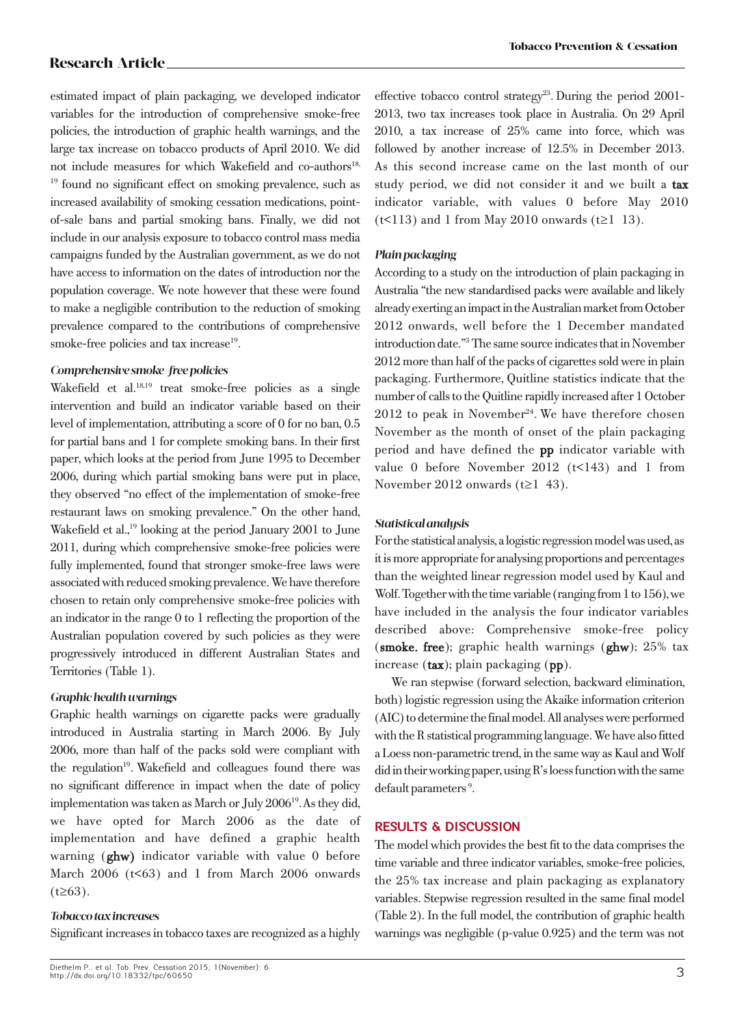estimated impact of plain packaging, we developed indicator variables for the introduction of comprehensive smoke-free policies, the introduction of graphic health warnings, and the large tax increase on tobacco products of April 2010. We did not include measures for which Wakefield and co-authors<sup>18,</sup> <sup>19</sup> found no significant effect on smoking prevalence, such as increased availability of smoking cessation medications, pointof-sale bans and partial smoking bans. Finally, we did not include in our analysis exposure to tobacco control mass media campaigns funded by the Australian government, as we do not have access to information on the dates of introduction nor the population coverage. We note however that these were found to make a negligible contribution to the reduction of smoking prevalence compared to the contributions of comprehensive smoke-free policies and tax increase $19$ .

### *Comprehensive smoke-free policies*

Wakefield et al.<sup>18,19</sup> treat smoke-free policies as a single intervention and build an indicator variable based on their level of implementation, attributing a score of 0 for no ban, 0.5 for partial bans and 1 for complete smoking bans. In their first paper, which looks at the period from June 1995 to December 2006, during which partial smoking bans were put in place, they observed "no effect of the implementation of smoke-free restaurant laws on smoking prevalence." On the other hand, Wakefield et al.<sup>19</sup> looking at the period January 2001 to June 2011, during which comprehensive smoke-free policies were fully implemented, found that stronger smoke-free laws were associated with reduced smoking prevalence. We have therefore chosen to retain only comprehensive smoke-free policies with an indicator in the range 0 to 1 reflecting the proportion of the Australian population covered by such policies as they were progressively introduced in different Australian States and Territories (Table 1).

### *Graphic health warnings*

Graphic health warnings on cigarette packs were gradually introduced in Australia starting in March 2006. By July 2006, more than half of the packs sold were compliant with the regulation<sup>19</sup>. Wakefield and colleagues found there was no significant difference in impact when the date of policy implementation was taken as March or July 2006<sup>19</sup>. As they did, we have opted for March 2006 as the date of implementation and have defined a graphic health warning (ghw) indicator variable with value 0 before March 2006 ( $t$ <63) and 1 from March 2006 onwards  $(t\geq 63)$ .

### *Tobacco tax increases*

Significant increases in tobacco taxes are recognized as a highly

effective tobacco control strategy<sup>23</sup>. During the period 2001-2013, two tax increases took place in Australia. On 29 April 2010, a tax increase of 25% came into force, which was followed by another increase of 12.5% in December 2013. As this second increase came on the last month of our study period, we did not consider it and we built a tax indicator variable, with values 0 before May 2010  $(t<113)$  and 1 from May 2010 onwards  $(t\geq 1\ 13)$ .

### *Plain packaging*

According to a study on the introduction of plain packaging in Australia "the new standardised packs were available and likely already exerting an impact in the Australian market from October 2012 onwards, well before the 1 December mandated introduction date."<sup>3</sup>The same source indicates that in November 2012 more than half of the packs of cigarettes sold were in plain packaging. Furthermore, Quitline statistics indicate that the number of calls to the Quitline rapidly increased after 1 October  $2012$  to peak in November<sup>24</sup>. We have therefore chosen November as the month of onset of the plain packaging period and have defined the pp indicator variable with value 0 before November 2012 (t<143) and 1 from November 2012 onwards (t≥1 43).

# *Statistical analysis*

For the statistical analysis, a logistic regression model was used, as it is more appropriate for analysing proportions and percentages than the weighted linear regression model used by Kaul and Wolf. Together with the time variable (ranging from 1 to 156), we have included in the analysis the four indicator variables described above: Comprehensive smoke-free policy (smoke. free); graphic health warnings (ghw); 25% tax increase  $(\text{tax})$ ; plain packaging  $(pp)$ .

We ran stepwise (forward selection, backward elimination, both) logistic regression using the Akaike information criterion (AIC) to determine the final model. All analyses were performed with the R statistical programming language. We have also fitted a Loess non-parametric trend, in the same way as Kaul and Wolf did in their working paper, using R's loess function with the same default parameters<sup>9</sup>.

# **RESULTS & DISCUSSION**

The model which provides the best fit to the data comprises the time variable and three indicator variables, smoke-free policies, the 25% tax increase and plain packaging as explanatory variables. Stepwise regression resulted in the same final model (Table 2). In the full model, the contribution of graphic health warnings was negligible (p-value 0.925) and the term was not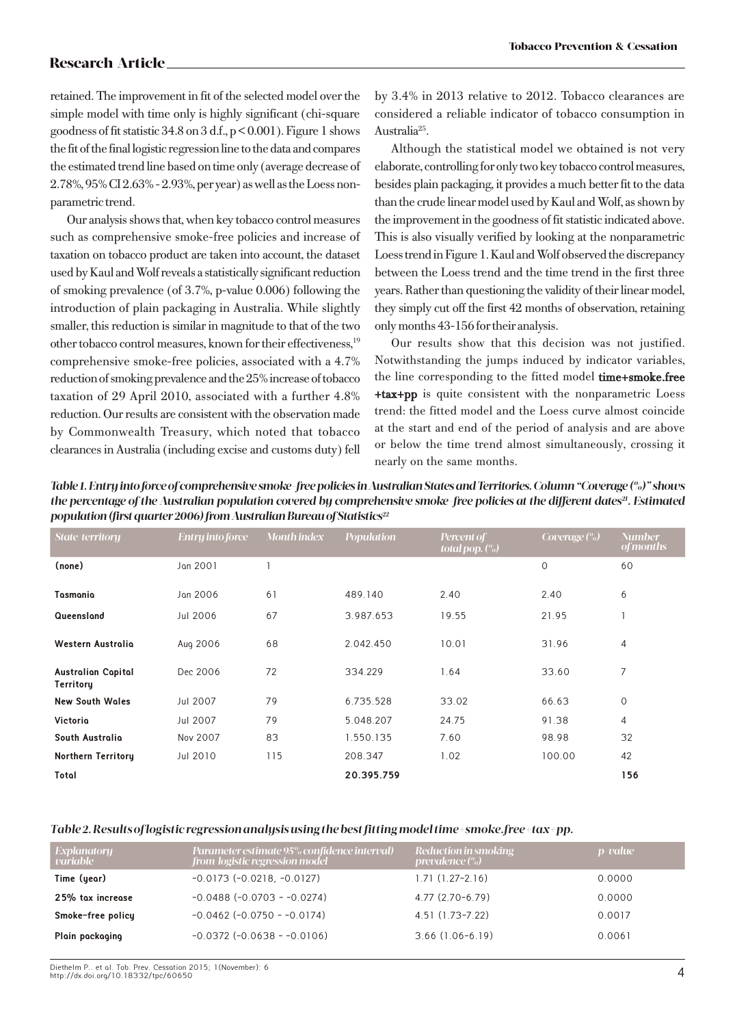retained. The improvement in fit of the selected model over the simple model with time only is highly significant (chi-square goodness of fit statistic 34.8 on  $3$  d.f.,  $p < 0.001$ ). Figure 1 shows the fit of the final logistic regression line to the data and compares the estimated trend line based on time only (average decrease of 2.78%, 95% CI 2.63% - 2.93%, per year) as well as the Loess nonparametric trend.

Our analysis shows that, when key tobacco control measures such as comprehensive smoke-free policies and increase of taxation on tobacco product are taken into account, the dataset used by Kaul and Wolf reveals a statistically significant reduction of smoking prevalence (of 3.7%, p-value 0.006) following the introduction of plain packaging in Australia. While slightly smaller, this reduction is similar in magnitude to that of the two other tobacco control measures, known for their effectiveness,19 comprehensive smoke-free policies, associated with a 4.7% reduction of smoking prevalence and the 25% increase of tobacco taxation of 29 April 2010, associated with a further 4.8% reduction. Our results are consistent with the observation made by Commonwealth Treasury, which noted that tobacco clearances in Australia (including excise and customs duty) fell

by 3.4% in 2013 relative to 2012. Tobacco clearances are considered a reliable indicator of tobacco consumption in Australia25.

Although the statistical model we obtained is not very elaborate, controlling for only two key tobacco control measures, besides plain packaging, it provides a much better fit to the data than the crude linear model used by Kaul and Wolf, as shown by the improvement in the goodness of fit statistic indicated above. This is also visually verified by looking at the nonparametric Loess trend in Figure 1. Kaul and Wolf observed the discrepancy between the Loess trend and the time trend in the first three years. Rather than questioning the validity of their linear model, they simply cut off the first 42 months of observation, retaining only months 43-156 for their analysis.

Our results show that this decision was not justified. Notwithstanding the jumps induced by indicator variables, the line corresponding to the fitted model time+smoke.free +tax+pp is quite consistent with the nonparametric Loess trend: the fitted model and the Loess curve almost coincide at the start and end of the period of analysis and are above or below the time trend almost simultaneously, crossing it nearly on the same months.

*Table 1. Entry into force of comprehensive smoke-free policies in Australian States and Territories. Column "Coverage (%)" shows the percentage of the Australian population covered by comprehensive smoke-free policies at the different dates<sup>21</sup>. Estimated population (first quarter 2006) from Australian Bureau of Statistics<sup>22</sup>* 

| State/territory                        | Entry into force | <b>Month index</b> | <b>Population</b> | Percent of<br>total pop. $(\%)$ | Coverage $\left(\% \right)$ | <b>Number</b><br><i>of months</i> |
|----------------------------------------|------------------|--------------------|-------------------|---------------------------------|-----------------------------|-----------------------------------|
| (none)                                 | Jan 2001         |                    |                   |                                 | $\mathbf 0$                 | 60                                |
| Tasmania                               | Jan 2006         | 6                  | 489.140           | 2.40                            | 2.40                        | 6                                 |
| Queensland                             | Jul 2006         | 67                 | 3.987.653         | 19.55                           | 21.95                       |                                   |
| Western Austrolio                      | Aug 2006         | 68                 | 2.042.450         | 10.01                           | 31.96                       | 4                                 |
| <b>Australian Capital</b><br>Territory | Dec 2006         | 72                 | 334.229           | 1.64                            | 33.60                       | 7                                 |
| <b>New South Wales</b>                 | Jul 2007         | 79                 | 6.735.528         | 33.02                           | 66.63                       | 0                                 |
| Victoria                               | Jul 2007         | 79                 | 5.048.207         | 24.75                           | 91.38                       | 4                                 |
| South Australia                        | Nov 2007         | 83                 | 1.550.135         | 7.60                            | 98.98                       | 32                                |
| <b>Northern Territory</b>              | Jul 2010         | 115                | 208.347           | 1.02                            | 100.00                      | 42                                |
| Total                                  |                  |                    | 20.395.759        |                                 |                             | 156                               |

#### *Table 2. Results of logistic regression analysis using the best fitting model time+smoke.free+tax+pp.*

| Explanatory<br>variable | Parameter estimate 95% confidence interval)<br>from logistic regression model | Reduction in smoking<br>prevalence $\binom{0}{0}$ | $p$ -value |
|-------------------------|-------------------------------------------------------------------------------|---------------------------------------------------|------------|
| Time (year)             | $-0.0173$ $(-0.0218, -0.0127)$                                                | $1.71(1.27-2.16)$                                 | 0.0000     |
| 25% tox increase        | $-0.0488$ ( $-0.0703 - 0.0274$ )                                              | $4.77(2.70-6.79)$                                 | 0.0000     |
| Smoke-free policy       | $-0.0462$ ( $-0.0750 - 0.0174$ )                                              | 4.51 (1.73-7.22)                                  | 0.0017     |
| Plain packaging         | $-0.0372$ ( $-0.0638 - 0.0106$ )                                              | $3.66$ $(1.06-6.19)$                              | 0.0061     |

Diethelm P.. et al. Tob. Prev. Cessation 2015; 1(November): 6 http://dx.doi.org/10.18332/tpc/60650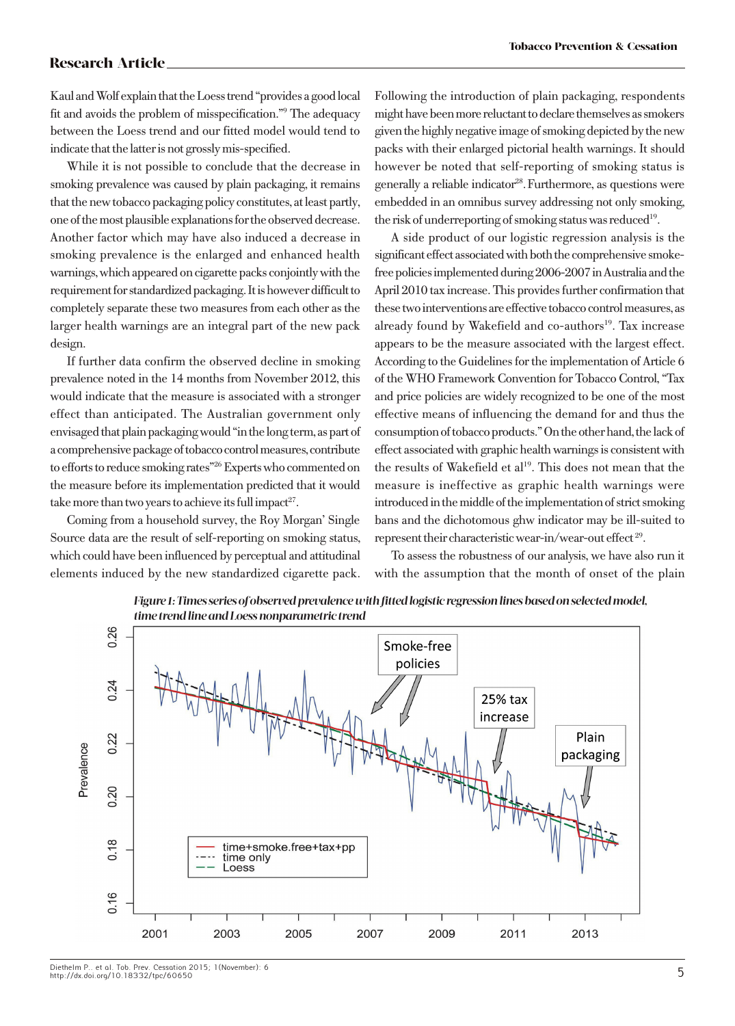Kaul and Wolf explain that the Loess trend "provides a good local fit and avoids the problem of misspecification."9 The adequacy between the Loess trend and our fitted model would tend to indicate that the latter is not grossly mis-specified.

While it is not possible to conclude that the decrease in smoking prevalence was caused by plain packaging, it remains that the new tobacco packaging policy constitutes, at least partly, one of the most plausible explanations for the observed decrease. Another factor which may have also induced a decrease in smoking prevalence is the enlarged and enhanced health warnings, which appeared on cigarette packs conjointly with the requirement for standardized packaging. It is however difficult to completely separate these two measures from each other as the larger health warnings are an integral part of the new pack design.

If further data confirm the observed decline in smoking prevalence noted in the 14 months from November 2012, this would indicate that the measure is associated with a stronger effect than anticipated. The Australian government only envisaged that plain packaging would "in the long term, as part of a comprehensive package of tobacco control measures, contribute to efforts to reduce smoking rates"26 Experts who commented on the measure before its implementation predicted that it would take more than two years to achieve its full impact<sup>27</sup>.

Coming from a household survey, the Roy Morgan' Single Source data are the result of self-reporting on smoking status, which could have been influenced by perceptual and attitudinal elements induced by the new standardized cigarette pack.

Following the introduction of plain packaging, respondents might have been more reluctant to declare themselves as smokers given the highly negative image of smoking depicted by the new packs with their enlarged pictorial health warnings. It should however be noted that self-reporting of smoking status is generally a reliable indicator<sup>28</sup>. Furthermore, as questions were embedded in an omnibus survey addressing not only smoking, the risk of underreporting of smoking status was reduced<sup>19</sup>.

A side product of our logistic regression analysis is the significant effect associated with both the comprehensive smokefree policies implemented during 2006-2007 in Australia and the April 2010 tax increase. This provides further confirmation that these two interventions are effective tobacco control measures, as already found by Wakefield and co-authors<sup>19</sup>. Tax increase appears to be the measure associated with the largest effect. According to the Guidelines for the implementation of Article 6 of the WHO Framework Convention for Tobacco Control, "Tax and price policies are widely recognized to be one of the most effective means of influencing the demand for and thus the consumption of tobacco products." On the other hand, the lack of effect associated with graphic health warnings is consistent with the results of Wakefield et al<sup>19</sup>. This does not mean that the measure is ineffective as graphic health warnings were introduced in the middle of the implementation of strict smoking bans and the dichotomous ghw indicator may be ill-suited to represent their characteristic wear-in/wear-out effect 29.

To assess the robustness of our analysis, we have also run it with the assumption that the month of onset of the plain



*Figure 1: Times series of observed prevalence with fitted logistic regression lines based on selected model,*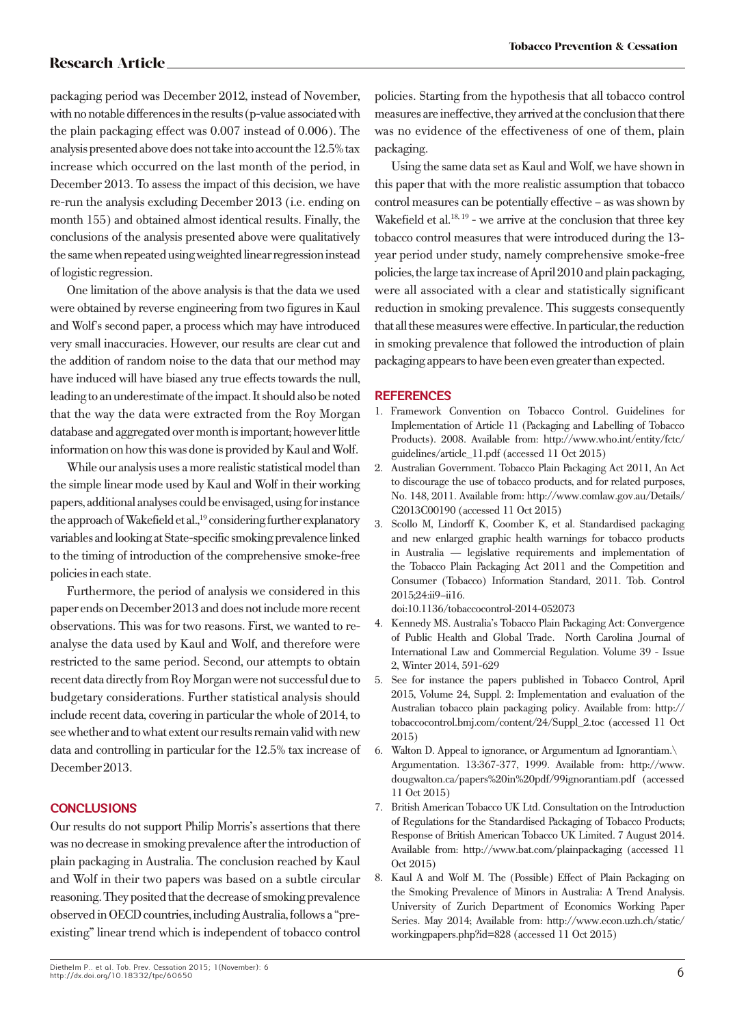packaging period was December 2012, instead of November, with no notable differences in the results (p-value associated with the plain packaging effect was 0.007 instead of 0.006). The analysis presented above does not take into account the 12.5% tax increase which occurred on the last month of the period, in December 2013. To assess the impact of this decision, we have re-run the analysis excluding December 2013 (i.e. ending on month 155) and obtained almost identical results. Finally, the conclusions of the analysis presented above were qualitatively the same when repeated using weighted linear regression instead of logistic regression.

One limitation of the above analysis is that the data we used were obtained by reverse engineering from two figures in Kaul and Wolf's second paper, a process which may have introduced very small inaccuracies. However, our results are clear cut and the addition of random noise to the data that our method may have induced will have biased any true effects towards the null, leading to an underestimate of the impact. It should also be noted that the way the data were extracted from the Roy Morgan database and aggregated over month is important; however little information on how this was done is provided by Kaul and Wolf.

While our analysis uses a more realistic statistical model than the simple linear mode used by Kaul and Wolf in their working papers, additional analyses could be envisaged, using for instance the approach of Wakefield et al.,<sup>19</sup> considering further explanatory variables and looking at State-specific smoking prevalence linked to the timing of introduction of the comprehensive smoke-free policies in each state.

Furthermore, the period of analysis we considered in this paper ends on December 2013 and does not include more recent observations. This was for two reasons. First, we wanted to reanalyse the data used by Kaul and Wolf, and therefore were restricted to the same period. Second, our attempts to obtain recent data directly from Roy Morgan were not successful due to budgetary considerations. Further statistical analysis should include recent data, covering in particular the whole of 2014, to see whether and to what extent our results remain valid with new data and controlling in particular for the 12.5% tax increase of December 2013.

# **CONCLUSIONS**

Our results do not support Philip Morris's assertions that there was no decrease in smoking prevalence after the introduction of plain packaging in Australia. The conclusion reached by Kaul and Wolf in their two papers was based on a subtle circular reasoning. They posited that the decrease of smoking prevalence observed in OECD countries, including Australia, follows a "preexisting" linear trend which is independent of tobacco control

policies. Starting from the hypothesis that all tobacco control measures are ineffective, they arrived at the conclusion that there was no evidence of the effectiveness of one of them, plain packaging.

Using the same data set as Kaul and Wolf, we have shown in this paper that with the more realistic assumption that tobacco control measures can be potentially effective – as was shown by Wakefield et al. $18, 19$  - we arrive at the conclusion that three key tobacco control measures that were introduced during the 13 year period under study, namely comprehensive smoke-free policies, the large tax increase of April 2010 and plain packaging, were all associated with a clear and statistically significant reduction in smoking prevalence. This suggests consequently that all these measures were effective. In particular, the reduction in smoking prevalence that followed the introduction of plain packaging appears to have been even greater than expected.

# **REFERENCES**

- 1. Framework Convention on Tobacco Control. Guidelines for Implementation of Article 11 (Packaging and Labelling of Tobacco Products). 2008. Available from: http://www.who.int/entity/fctc/ guidelines/article\_11.pdf (accessed 11 Oct 2015)
- 2. Australian Government. Tobacco Plain Packaging Act 2011, An Act to discourage the use of tobacco products, and for related purposes, No. 148, 2011. Available from: http://www.comlaw.gov.au/Details/ C2013C00190 (accessed 11 Oct 2015)
- 3. Scollo M, Lindorff K, Coomber K, et al. Standardised packaging and new enlarged graphic health warnings for tobacco products in Australia — legislative requirements and implementation of the Tobacco Plain Packaging Act 2011 and the Competition and Consumer (Tobacco) Information Standard, 2011. Tob. Control 2015;24:ii9–ii16.

doi:10.1136/tobaccocontrol-2014-052073

- 4. Kennedy MS. Australia's Tobacco Plain Packaging Act: Convergence of Public Health and Global Trade. North Carolina Journal of International Law and Commercial Regulation. Volume 39 - Issue 2, Winter 2014, 591-629
- 5. See for instance the papers published in Tobacco Control, April 2015, Volume 24, Suppl. 2: Implementation and evaluation of the Australian tobacco plain packaging policy. Available from: http:// tobaccocontrol.bmj.com/content/24/Suppl\_2.toc (accessed 11 Oct 2015)
- 6. Walton D. Appeal to ignorance, or Argumentum ad Ignorantiam.\ Argumentation. 13:367-377, 1999. Available from: http://www. dougwalton.ca/papers%20in%20pdf/99ignorantiam.pdf (accessed 11 Oct 2015)
- 7. British American Tobacco UK Ltd. Consultation on the Introduction of Regulations for the Standardised Packaging of Tobacco Products; Response of British American Tobacco UK Limited. 7 August 2014. Available from: http://www.bat.com/plainpackaging (accessed 11 Oct 2015)
- 8. Kaul A and Wolf M. The (Possible) Effect of Plain Packaging on the Smoking Prevalence of Minors in Australia: A Trend Analysis. University of Zurich Department of Economics Working Paper Series. May 2014; Available from: http://www.econ.uzh.ch/static/ workingpapers.php?id=828 (accessed 11 Oct 2015)